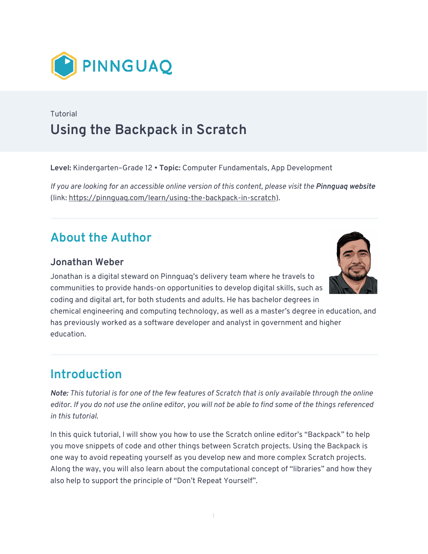

## Tutorial **Using the Backpack in Scratch**

**Level:** Kindergarten–Grade 12 • **Topic:** Computer Fundamentals, App Development

*If you are looking for an accessible online version of this content, please visit the Pinnguag website* (link:<https://pinnguaq.com/learn/using-the-backpack-in-scratch>).

## **About the Author**

### **Jonathan Weber**

Jonathan is a digital steward on Pinnguaq's delivery team where he travels to communities to provide hands-on opportunities to develop digital skills, such as coding and digital art, for both students and adults. He has bachelor degrees in



chemical engineering and computing technology, as well as a master's degree in education, and has previously worked as a software developer and analyst in government and higher education.

# **Introduction**

*Note: This tutorial is for one of the few features of Scratch that is only available through the online editor. If you do not use the online editor, you will not be able to find some of the things referenced in this tutorial.* 

In this quick tutorial, I will show you how to use the Scratch online editor's "Backpack" to help you move snippets of code and other things between Scratch projects. Using the Backpack is one way to avoid repeating yourself as you develop new and more complex Scratch projects. Along the way, you will also learn about the computational concept of "libraries" and how they also help to support the principle of "Don't Repeat Yourself".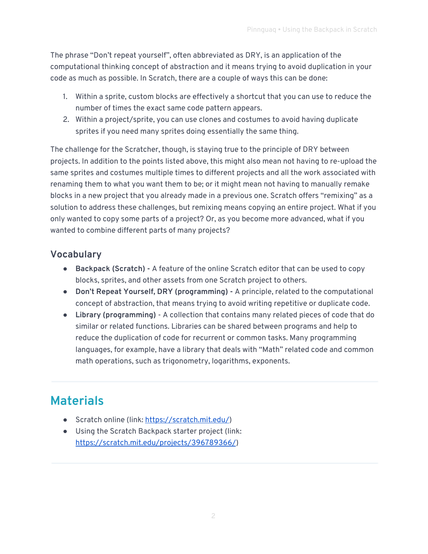The phrase "Don't repeat yourself", often abbreviated as DRY, is an application of the computational thinking concept of abstraction and it means trying to avoid duplication in your code as much as possible. In Scratch, there are a couple of ways this can be done:

- 1. Within a sprite, custom blocks are effectively a shortcut that you can use to reduce the number of times the exact same code pattern appears.
- 2. Within a project/sprite, you can use clones and costumes to avoid having duplicate sprites if you need many sprites doing essentially the same thing.

The challenge for the Scratcher, though, is staying true to the principle of DRY between projects. In addition to the points listed above, this might also mean not having to re-upload the same sprites and costumes multiple times to different projects and all the work associated with renaming them to what you want them to be; or it might mean not having to manually remake blocks in a new project that you already made in a previous one. Scratch offers "remixing" as a solution to address these challenges, but remixing means copying an entire project. What if you only wanted to copy some parts of a project? Or, as you become more advanced, what if you wanted to combine different parts of many projects?

## **Vocabulary**

- **Backpack (Scratch)** A feature of the online Scratch editor that can be used to copy blocks, sprites, and other assets from one Scratch project to others.
- **Don't Repeat Yourself, DRY (programming) -** A principle, related to the computational concept of abstraction, that means trying to avoid writing repetitive or duplicate code.
- **● Library (programming)**  A collection that contains many related pieces of code that do similar or related functions. Libraries can be shared between programs and help to reduce the duplication of code for recurrent or common tasks. Many programming languages, for example, have a library that deals with "Math" related code and common math operations, such as trigonometry, logarithms, exponents.

# **Materials**

- Scratch online (link: <https://scratch.mit.edu/>)
- Using the Scratch Backpack starter project (link: [https://scratch.mit.edu/projects/396789366/\)](https://scratch.mit.edu/projects/396789366/)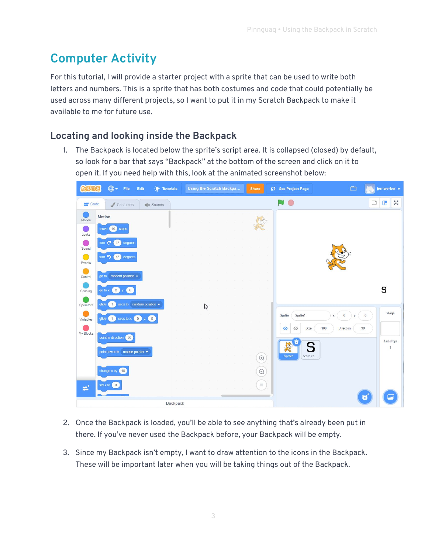# **Computer Activity**

For this tutorial, I will provide a starter project with a sprite that can be used to write both letters and numbers. This is a sprite that has both costumes and code that could potentially be used across many different projects, so I want to put it in my Scratch Backpack to make it available to me for future use.

## **Locating and looking inside the Backpack**

1. The Backpack is located below the sprite's script area. It is collapsed (closed) by default, so look for a bar that says "Backpack" at the bottom of the screen and click on it to open it. If you need help with this, look at the animated screenshot below:

|                     | <b>⊕ +</b> File<br>Edit<br>$\bullet$ Tutorials          |          | Using the Scratch Backpa |  | Share     | 65 See Project Page         | $\bigoplus$                 |              | jernwerber +                |
|---------------------|---------------------------------------------------------|----------|--------------------------|--|-----------|-----------------------------|-----------------------------|--------------|-----------------------------|
| Code                | $\triangle$ Costumes<br><b>Sounds</b>                   |          |                          |  |           |                             |                             | $\Box$       | $55$<br>$\Box$              |
| Motion              | <b>Motion</b>                                           |          |                          |  |           |                             |                             |              |                             |
| e de<br>Looks       | move (10) steps                                         |          |                          |  |           |                             |                             |              |                             |
| e n                 | (15) degrees<br>tum C                                   |          |                          |  |           |                             |                             |              |                             |
| Sound<br>$\bigcirc$ | tum <sup>5</sup><br>15 degrees                          |          |                          |  |           |                             |                             |              |                             |
| Events<br>$\bullet$ |                                                         |          |                          |  |           |                             |                             |              |                             |
| Control             | go to random position $\bullet$                         |          |                          |  |           |                             |                             |              |                             |
| Sensing             | go to $x = 0$ y: $\begin{pmatrix} 0 \\ 0 \end{pmatrix}$ |          |                          |  |           |                             |                             |              | S                           |
| Operators           | secs to random position •<br>glide<br>1                 |          | $\gtrsim$                |  |           |                             |                             |              |                             |
| Variables           | $\circ$<br>secs to $x: 0$<br>$\left(1\right)$<br>glide  |          |                          |  |           | Sprite1<br>Sprite           | $\bf 0$<br>$\mathsf X$<br>y | $\mathbf{0}$ | Stage                       |
| My Blocks           | point in direction (90)                                 |          |                          |  |           | Size<br>$\odot$<br>Ø        | 100<br>Direction            | 90           |                             |
|                     | point towards mouse-pointer •                           |          |                          |  |           | $\mathbf{x}$<br>E<br>S<br>Æ |                             |              | Backdrops<br>$\overline{1}$ |
|                     |                                                         |          |                          |  | $\odot$   | Sprite1<br>score co.        |                             |              |                             |
|                     | change $x$ by $(10)$                                    |          |                          |  | $\ominus$ |                             |                             |              |                             |
| ωt,                 | set x to 0                                              |          |                          |  | $\equiv$  |                             |                             |              |                             |
|                     |                                                         | Backpack |                          |  |           |                             |                             | U            |                             |

- 2. Once the Backpack is loaded, you'll be able to see anything that's already been put in there. If you've never used the Backpack before, your Backpack will be empty.
- 3. Since my Backpack isn't empty, I want to draw attention to the icons in the Backpack. These will be important later when you will be taking things out of the Backpack.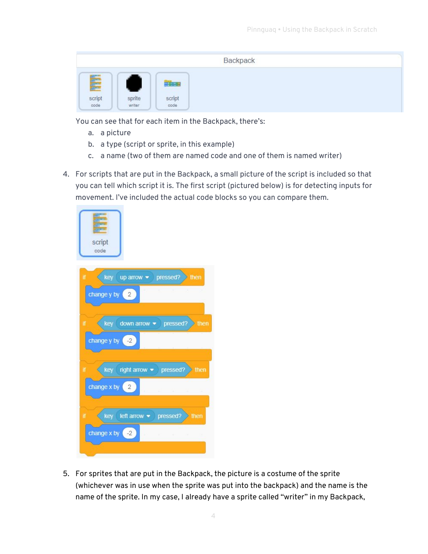|                         |                  |                                                   | Backpack |  |
|-------------------------|------------------|---------------------------------------------------|----------|--|
| Filip<br>script<br>code | sprite<br>writer | $\frac{1}{2}$ and $\frac{1}{2}$<br>script<br>code |          |  |

You can see that for each item in the Backpack, there's:

- a. a picture
- b. a type (script or sprite, in this example)
- c. a name (two of them are named code and one of them is named writer)
- 4. For scripts that are put in the Backpack, a small picture of the script is included so that you can tell which script it is. The first script (pictured below) is for detecting inputs for movement. I've included the actual code blocks so you can compare them.



5. For sprites that are put in the Backpack, the picture is a costume of the sprite (whichever was in use when the sprite was put into the backpack) and the name is the name of the sprite. In my case, I already have a sprite called "writer" in my Backpack,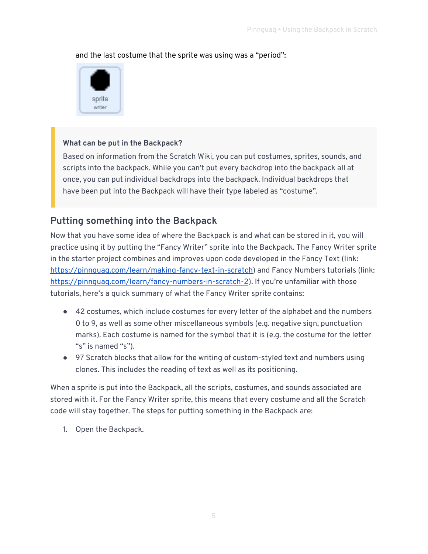#### and the last costume that the sprite was using was a "period":



#### **What can be put in the Backpack?**

Based on information from the Scratch Wiki, you can put costumes, sprites, sounds, and scripts into the backpack. While you can't put every backdrop into the backpack all at once, you can put individual backdrops into the backpack. Individual backdrops that have been put into the Backpack will have their type labeled as "costume".

### **Putting something into the Backpack**

Now that you have some idea of where the Backpack is and what can be stored in it, you will practice using it by putting the "Fancy Writer" sprite into the Backpack. The Fancy Writer sprite in the starter project combines and improves upon code developed in the Fancy Text (link: [https://pinnguaq.com/learn/making-fancy-text-in-scratch\)](https://pinnguaq.com/learn/making-fancy-text-in-scratch) and Fancy Numbers tutorials (link: [https://pinnguaq.com/learn/fancy-numbers-in-scratch-2\)](https://pinnguaq.com/learn/fancy-numbers-in-scratch-2). If you're unfamiliar with those tutorials, here's a quick summary of what the Fancy Writer sprite contains:

- 42 costumes, which include costumes for every letter of the alphabet and the numbers 0 to 9, as well as some other miscellaneous symbols (e.g. negative sign, punctuation marks). Each costume is named for the symbol that it is (e.g. the costume for the letter "s" is named "s").
- 97 Scratch blocks that allow for the writing of custom-styled text and numbers using clones. This includes the reading of text as well as its positioning.

When a sprite is put into the Backpack, all the scripts, costumes, and sounds associated are stored with it. For the Fancy Writer sprite, this means that every costume and all the Scratch code will stay together. The steps for putting something in the Backpack are:

1. Open the Backpack.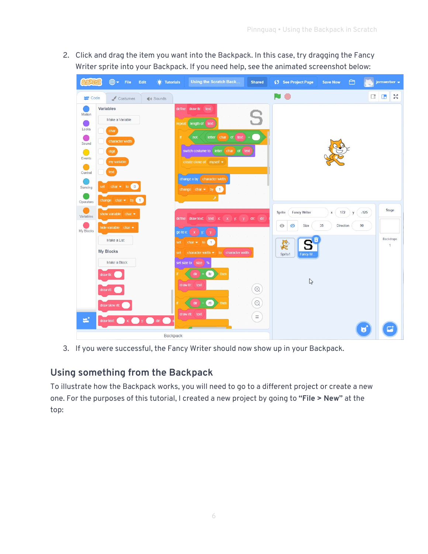2. Click and drag the item you want into the Backpack. In this case, try dragging the Fancy Writer sprite into your Backpack. If you need help, see the animated screenshot below:

|                                                                | $\bigoplus$ $\bullet$ File<br>Edit<br><b>O</b> : Tutorials                                                                                     | Using the Scratch Back                                                                                                                                                                                                                   | <b>Shared</b>                  | ● See Project Page                                                                              | ⊖<br><b>Save Now</b>             | jernwerber +                                         |
|----------------------------------------------------------------|------------------------------------------------------------------------------------------------------------------------------------------------|------------------------------------------------------------------------------------------------------------------------------------------------------------------------------------------------------------------------------------------|--------------------------------|-------------------------------------------------------------------------------------------------|----------------------------------|------------------------------------------------------|
| Code                                                           | Costumes<br>(1) Sounds                                                                                                                         |                                                                                                                                                                                                                                          |                                | $\bigcirc$                                                                                      |                                  | $\frac{\pi}{2} \frac{N}{N}$<br>$\Box$ $\Box$         |
| Motion<br>Looks<br>Sound<br>ŀ.<br>Events<br>Control<br>Sensing | Variables<br>Make a Variable<br>char<br>character width<br>digit<br>my variable<br>text<br>set char $\bullet$ to 0<br>change char $\bullet$ by | define draw ltr: text<br>length of text<br>repeat<br>letter char of text<br>not<br>if.<br>switch costume to letter<br>char<br>of text<br>create clone of myself =<br>change x by character width<br>change char $\bullet$ by $\bullet$ 1 | S<br>$\equiv$                  |                                                                                                 |                                  |                                                      |
| Operators<br>Variables<br>My Blocks                            | show variable $char =$<br>hide variable $char \bullet$<br>Make a List<br><b>My Blocks</b><br>Make a Block                                      | define drawtext: text x x y: y dir. dir<br>go to x:<br>$x \ y$<br>char $\bullet$ to 1<br>set<br>character width $\bullet$ to character width<br>set<br>set size to size %                                                                |                                | <b>Fancy Writer</b><br>Sprite<br>$_{\odot}$<br>Size<br>ø<br>E<br>S<br>Sprite1<br><b>Fancy W</b> | 172<br>x<br>y<br>35<br>Direction | Stage<br>$-125$<br>90<br>Backdrops<br>$\overline{1}$ |
| draw ltr.<br>draw rtl:<br>٣Î                                   | draw slow rtl:<br>$x \bigodot y$ : $\bigodot$ dir.<br>draw text:                                                                               | $[$ ftr $]$<br>dir<br>then<br>draw ltr. text<br>rtl<br>dir<br>then<br>draw rtl: text<br>Backpack                                                                                                                                         | $\odot$<br>$\odot$<br>$\equiv$ | $\mathbb{Q}$                                                                                    |                                  | u                                                    |

3. If you were successful, the Fancy Writer should now show up in your Backpack.

## **Using something from the Backpack**

To illustrate how the Backpack works, you will need to go to a different project or create a new one. For the purposes of this tutorial, I created a new project by going to **"File > New"** at the top: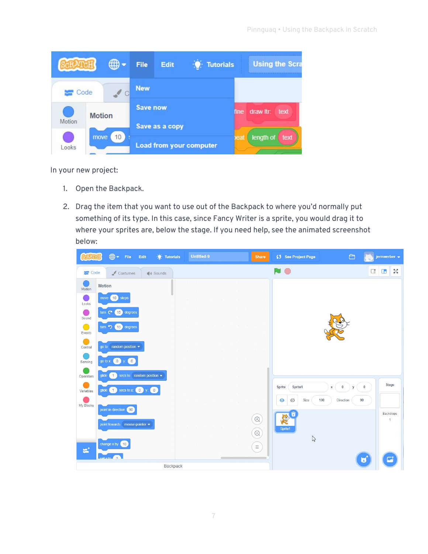|        |               | ⊕ - | <b>File</b>     | Edit | <b>Tutorials</b>        |     | <b>Using the Scra</b>     |  |  |
|--------|---------------|-----|-----------------|------|-------------------------|-----|---------------------------|--|--|
| Code   |               |     | <b>New</b>      |      |                         |     |                           |  |  |
|        | <b>Motion</b> |     | <b>Save now</b> |      |                         |     | draw itr:<br>text<br>fine |  |  |
| Motion |               |     | Save as a copy  |      |                         |     |                           |  |  |
| Looks  | move          | 10  |                 |      | Load from your computer | eat | length of<br>text         |  |  |

In your new project:

- 1. Open the Backpack.
- 2. Drag the item that you want to use out of the Backpack to where you'd normally put something of its type. In this case, since Fancy Writer is a sprite, you would drag it to where your sprites are, below the stage. If you need help, see the animated screenshot below:

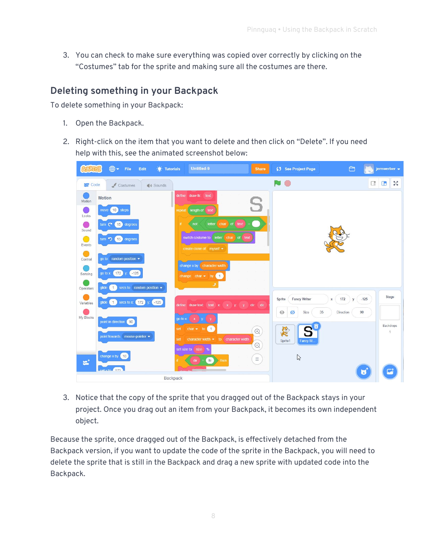3. You can check to make sure everything was copied over correctly by clicking on the "Costumes" tab for the sprite and making sure all the costumes are there.

### **Deleting something in your Backpack**

To delete something in your Backpack:

- 1. Open the Backpack.
- 2. Right-click on the item that you want to delete and then click on "Delete". If you need help with this, see the animated screenshot below:

| $\bigoplus$ $\bullet$ File                                                                                                                                                                     | Edit<br>О.                                                                   | <b>Untitled-9</b><br><b>Tutorials</b>                                                                                                                                                                                           | Share                              | 65 See Project Page                                                             | $\bigcap$               | jernwerber +                                    |
|------------------------------------------------------------------------------------------------------------------------------------------------------------------------------------------------|------------------------------------------------------------------------------|---------------------------------------------------------------------------------------------------------------------------------------------------------------------------------------------------------------------------------|------------------------------------|---------------------------------------------------------------------------------|-------------------------|-------------------------------------------------|
| Code                                                                                                                                                                                           | $\triangle$ Costumes<br>(b) Sounds                                           |                                                                                                                                                                                                                                 |                                    | N O                                                                             |                         | $\frac{\pi}{2} \frac{N}{N}$<br>$\Box$<br>$\Box$ |
| <b>Motion</b><br>Motion<br>move (10) steps<br>Looks<br>turn $C^*$<br>O)<br>Sound<br>turn $\bigcirc$ (15) degrees<br>0<br>Events<br>۰<br>go to random position $\blacktriangleright$<br>Control | (15) degrees                                                                 | define draw ftr: text<br>length of text<br>repeat<br>char of text<br>letter<br>if.<br>not<br>switch costume to<br>letter<br>char<br>create clone of myself •                                                                    | S<br>of text                       |                                                                                 |                         |                                                 |
| go to x: (172) y: (-125)<br>Sensing<br>1<br>glide<br>Operators                                                                                                                                 | secs to random position •                                                    | change x by character width<br>change char $\bullet$ by 1                                                                                                                                                                       |                                    | <b>Fancy Writer</b><br>Sprite                                                   | 172<br>$\mathsf X$<br>V | Stage<br>$-125$                                 |
| Variables<br>My Blocks<br>point in direction (90)<br>change $x$ by $(10)$<br>ΞÌ,<br>$\cot x \tan \left( 472 \right)$                                                                           | glide $(1)$ secs to x: $(172)$ y:<br>$-125$<br>point towards mouse-pointer • | define draw-text: text x x y: y dir: dir<br>go to x:<br>$\mathbf{x}$<br>$J_{\mathbf{y}}$<br>set char $\bullet$ to 1<br>character width $\bullet$ to<br>character width<br>set<br>set size to size %<br>n<br>dir<br>then<br>$-1$ | $\bigoplus$<br>$\odot$<br>$\equiv$ | 35<br>$\odot$<br>Size<br>Ø<br><b>Red</b><br>Sprite1<br>Fancy W.<br>$\mathbb{Q}$ | 90<br>Direction         | Backdrops<br>1                                  |
|                                                                                                                                                                                                |                                                                              | Backpack                                                                                                                                                                                                                        |                                    |                                                                                 |                         | U                                               |

3. Notice that the copy of the sprite that you dragged out of the Backpack stays in your project. Once you drag out an item from your Backpack, it becomes its own independent object.

Because the sprite, once dragged out of the Backpack, is effectively detached from the Backpack version, if you want to update the code of the sprite in the Backpack, you will need to delete the sprite that is still in the Backpack and drag a new sprite with updated code into the Backpack.